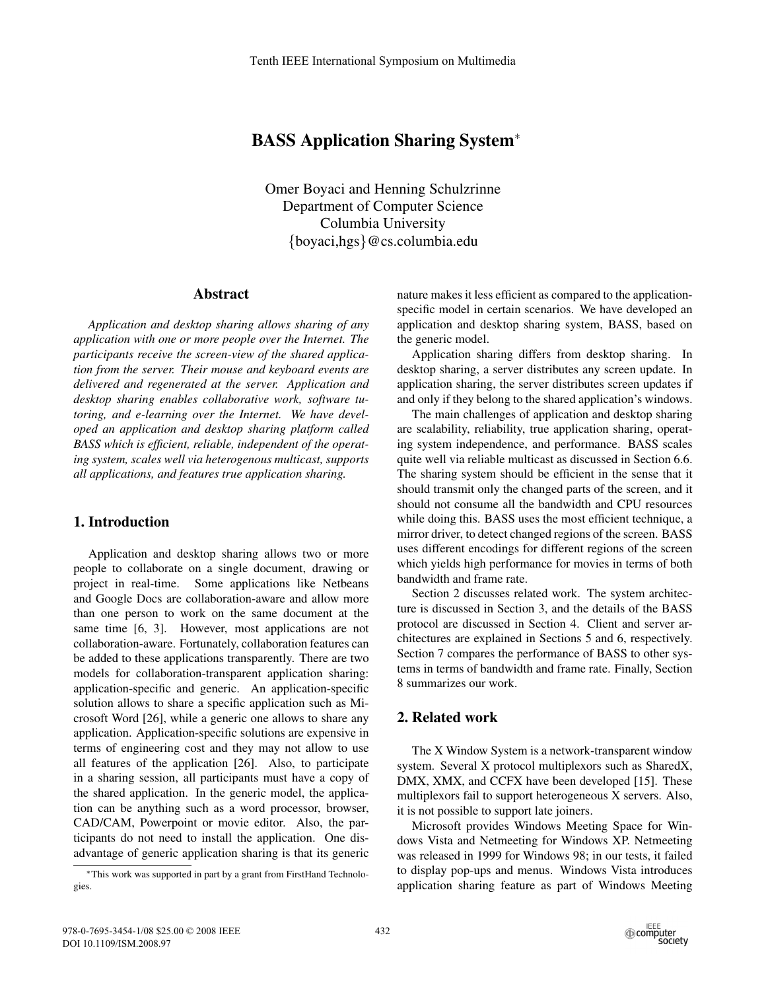# BASS Application Sharing System<sup>∗</sup>

Omer Boyaci and Henning Schulzrinne Department of Computer Science Columbia University {boyaci,hgs}@cs.columbia.edu

#### Abstract

*Application and desktop sharing allows sharing of any application with one or more people over the Internet. The participants receive the screen-view of the shared application from the server. Their mouse and keyboard events are delivered and regenerated at the server. Application and desktop sharing enables collaborative work, software tutoring, and e-learning over the Internet. We have developed an application and desktop sharing platform called BASS which is efficient, reliable, independent of the operating system, scales well via heterogenous multicast, supports all applications, and features true application sharing.*

#### 1. Introduction

Application and desktop sharing allows two or more people to collaborate on a single document, drawing or project in real-time. Some applications like Netbeans and Google Docs are collaboration-aware and allow more than one person to work on the same document at the same time [6, 3]. However, most applications are not collaboration-aware. Fortunately, collaboration features can be added to these applications transparently. There are two models for collaboration-transparent application sharing: application-specific and generic. An application-specific solution allows to share a specific application such as Microsoft Word [26], while a generic one allows to share any application. Application-specific solutions are expensive in terms of engineering cost and they may not allow to use all features of the application [26]. Also, to participate in a sharing session, all participants must have a copy of the shared application. In the generic model, the application can be anything such as a word processor, browser, CAD/CAM, Powerpoint or movie editor. Also, the participants do not need to install the application. One disadvantage of generic application sharing is that its generic

nature makes it less efficient as compared to the applicationspecific model in certain scenarios. We have developed an application and desktop sharing system, BASS, based on the generic model.

Application sharing differs from desktop sharing. In desktop sharing, a server distributes any screen update. In application sharing, the server distributes screen updates if and only if they belong to the shared application's windows.

The main challenges of application and desktop sharing are scalability, reliability, true application sharing, operating system independence, and performance. BASS scales quite well via reliable multicast as discussed in Section 6.6. The sharing system should be efficient in the sense that it should transmit only the changed parts of the screen, and it should not consume all the bandwidth and CPU resources while doing this. BASS uses the most efficient technique, a mirror driver, to detect changed regions of the screen. BASS uses different encodings for different regions of the screen which yields high performance for movies in terms of both bandwidth and frame rate.

Section 2 discusses related work. The system architecture is discussed in Section 3, and the details of the BASS protocol are discussed in Section 4. Client and server architectures are explained in Sections 5 and 6, respectively. Section 7 compares the performance of BASS to other systems in terms of bandwidth and frame rate. Finally, Section 8 summarizes our work.

## 2. Related work

The X Window System is a network-transparent window system. Several X protocol multiplexors such as SharedX, DMX, XMX, and CCFX have been developed [15]. These multiplexors fail to support heterogeneous X servers. Also, it is not possible to support late joiners.

Microsoft provides Windows Meeting Space for Windows Vista and Netmeeting for Windows XP. Netmeeting was released in 1999 for Windows 98; in our tests, it failed to display pop-ups and menus. Windows Vista introduces application sharing feature as part of Windows Meeting

<sup>∗</sup>This work was supported in part by a grant from FirstHand Technologies.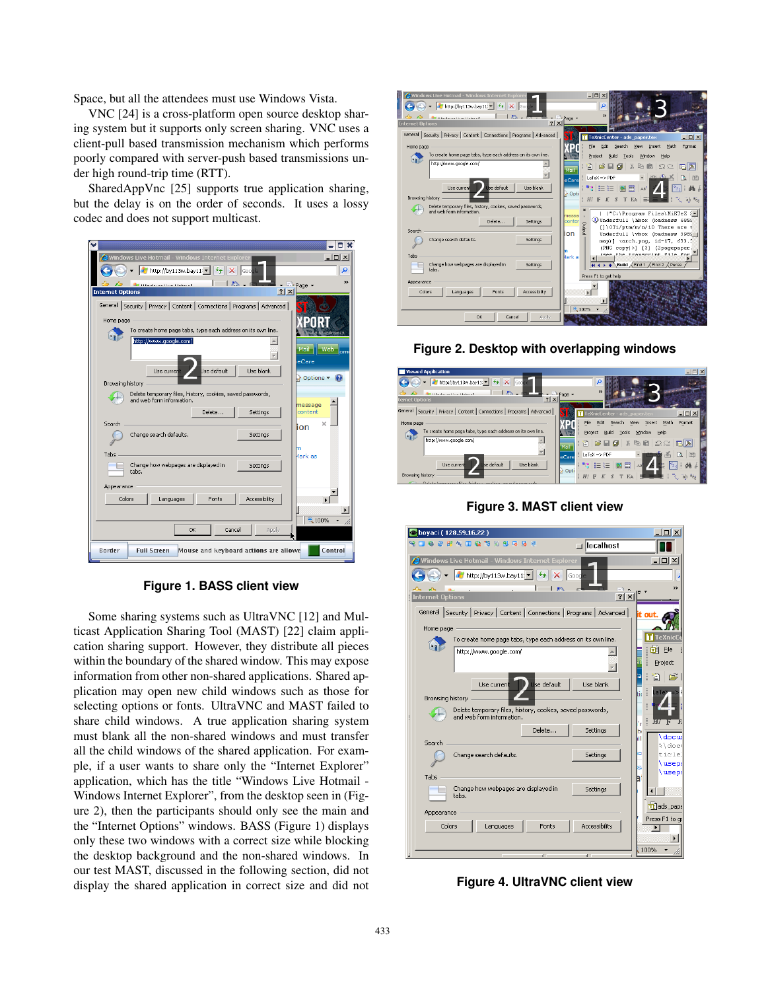Space, but all the attendees must use Windows Vista.

VNC [24] is a cross-platform open source desktop sharing system but it supports only screen sharing. VNC uses a client-pull based transmission mechanism which performs poorly compared with server-push based transmissions under high round-trip time (RTT).

SharedAppVnc [25] supports true application sharing, but the delay is on the order of seconds. It uses a lossy codec and does not support multicast.





Some sharing systems such as UltraVNC [12] and Multicast Application Sharing Tool (MAST) [22] claim application sharing support. However, they distribute all pieces within the boundary of the shared window. This may expose information from other non-shared applications. Shared application may open new child windows such as those for selecting options or fonts. UltraVNC and MAST failed to share child windows. A true application sharing system must blank all the non-shared windows and must transfer all the child windows of the shared application. For example, if a user wants to share only the "Internet Explorer" application, which has the title "Windows Live Hotmail - Windows Internet Explorer", from the desktop seen in (Figure 2), then the participants should only see the main and the "Internet Options" windows. BASS (Figure 1) displays only these two windows with a correct size while blocking the desktop background and the non-shared windows. In our test MAST, discussed in the following section, did not display the shared application in correct size and did not











**Figure 4. UltraVNC client view**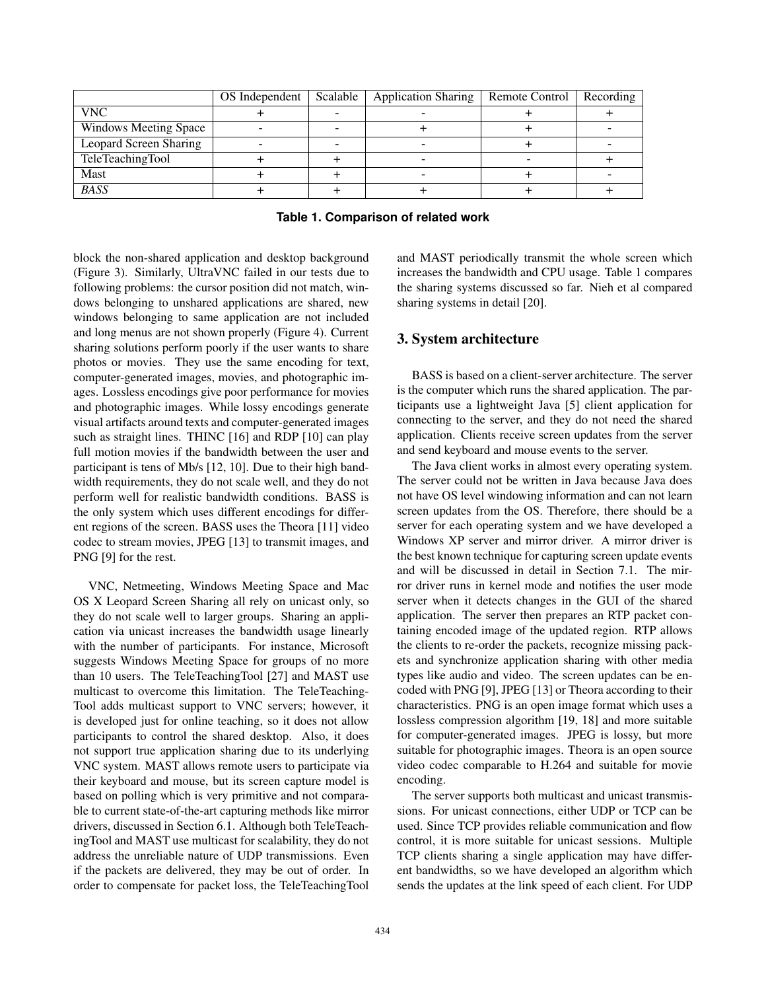|                              | OS Independent | Scalable | <b>Application Sharing</b> | Remote Control | Recording |
|------------------------------|----------------|----------|----------------------------|----------------|-----------|
| <b>VNC</b>                   |                |          |                            |                |           |
| <b>Windows Meeting Space</b> |                |          |                            |                |           |
| Leopard Screen Sharing       |                |          |                            |                |           |
| <b>TeleTeachingTool</b>      |                |          |                            |                |           |
| Mast                         |                |          |                            |                |           |
| <b>BASS</b>                  |                |          |                            |                |           |

**Table 1. Comparison of related work**

block the non-shared application and desktop background (Figure 3). Similarly, UltraVNC failed in our tests due to following problems: the cursor position did not match, windows belonging to unshared applications are shared, new windows belonging to same application are not included and long menus are not shown properly (Figure 4). Current sharing solutions perform poorly if the user wants to share photos or movies. They use the same encoding for text, computer-generated images, movies, and photographic images. Lossless encodings give poor performance for movies and photographic images. While lossy encodings generate visual artifacts around texts and computer-generated images such as straight lines. THINC [16] and RDP [10] can play full motion movies if the bandwidth between the user and participant is tens of Mb/s [12, 10]. Due to their high bandwidth requirements, they do not scale well, and they do not perform well for realistic bandwidth conditions. BASS is the only system which uses different encodings for different regions of the screen. BASS uses the Theora [11] video codec to stream movies, JPEG [13] to transmit images, and PNG [9] for the rest.

VNC, Netmeeting, Windows Meeting Space and Mac OS X Leopard Screen Sharing all rely on unicast only, so they do not scale well to larger groups. Sharing an application via unicast increases the bandwidth usage linearly with the number of participants. For instance, Microsoft suggests Windows Meeting Space for groups of no more than 10 users. The TeleTeachingTool [27] and MAST use multicast to overcome this limitation. The TeleTeaching-Tool adds multicast support to VNC servers; however, it is developed just for online teaching, so it does not allow participants to control the shared desktop. Also, it does not support true application sharing due to its underlying VNC system. MAST allows remote users to participate via their keyboard and mouse, but its screen capture model is based on polling which is very primitive and not comparable to current state-of-the-art capturing methods like mirror drivers, discussed in Section 6.1. Although both TeleTeachingTool and MAST use multicast for scalability, they do not address the unreliable nature of UDP transmissions. Even if the packets are delivered, they may be out of order. In order to compensate for packet loss, the TeleTeachingTool

and MAST periodically transmit the whole screen which increases the bandwidth and CPU usage. Table 1 compares the sharing systems discussed so far. Nieh et al compared sharing systems in detail [20].

## 3. System architecture

BASS is based on a client-server architecture. The server is the computer which runs the shared application. The participants use a lightweight Java [5] client application for connecting to the server, and they do not need the shared application. Clients receive screen updates from the server and send keyboard and mouse events to the server.

The Java client works in almost every operating system. The server could not be written in Java because Java does not have OS level windowing information and can not learn screen updates from the OS. Therefore, there should be a server for each operating system and we have developed a Windows XP server and mirror driver. A mirror driver is the best known technique for capturing screen update events and will be discussed in detail in Section 7.1. The mirror driver runs in kernel mode and notifies the user mode server when it detects changes in the GUI of the shared application. The server then prepares an RTP packet containing encoded image of the updated region. RTP allows the clients to re-order the packets, recognize missing packets and synchronize application sharing with other media types like audio and video. The screen updates can be encoded with PNG [9], JPEG [13] or Theora according to their characteristics. PNG is an open image format which uses a lossless compression algorithm [19, 18] and more suitable for computer-generated images. JPEG is lossy, but more suitable for photographic images. Theora is an open source video codec comparable to H.264 and suitable for movie encoding.

The server supports both multicast and unicast transmissions. For unicast connections, either UDP or TCP can be used. Since TCP provides reliable communication and flow control, it is more suitable for unicast sessions. Multiple TCP clients sharing a single application may have different bandwidths, so we have developed an algorithm which sends the updates at the link speed of each client. For UDP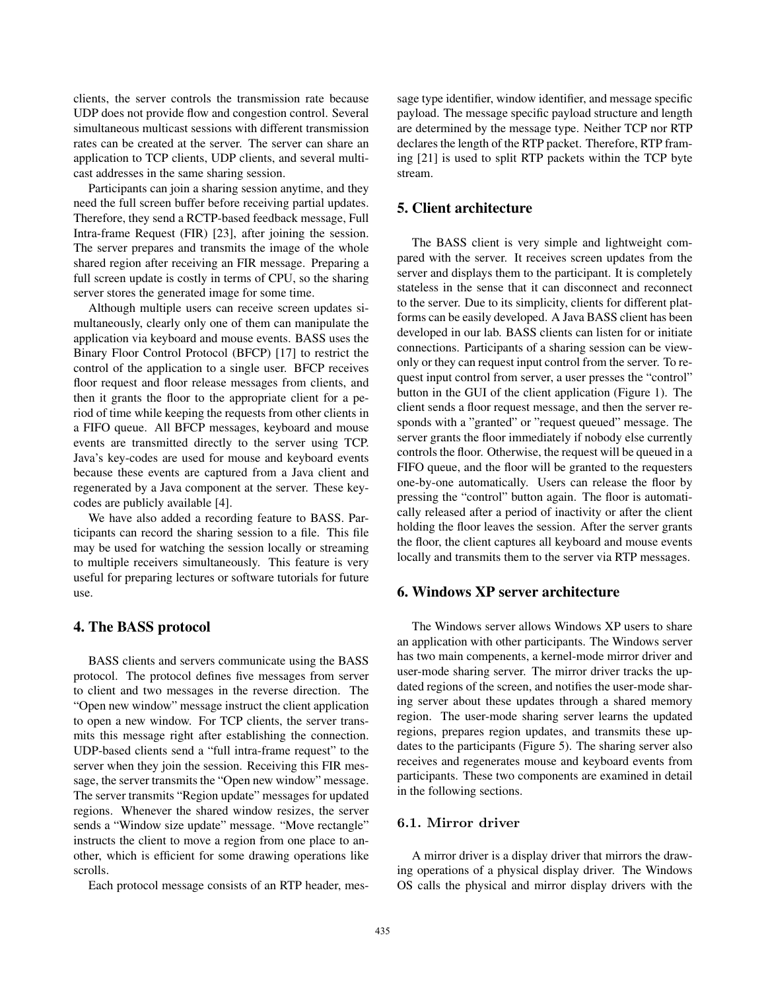clients, the server controls the transmission rate because UDP does not provide flow and congestion control. Several simultaneous multicast sessions with different transmission rates can be created at the server. The server can share an application to TCP clients, UDP clients, and several multicast addresses in the same sharing session.

Participants can join a sharing session anytime, and they need the full screen buffer before receiving partial updates. Therefore, they send a RCTP-based feedback message, Full Intra-frame Request (FIR) [23], after joining the session. The server prepares and transmits the image of the whole shared region after receiving an FIR message. Preparing a full screen update is costly in terms of CPU, so the sharing server stores the generated image for some time.

Although multiple users can receive screen updates simultaneously, clearly only one of them can manipulate the application via keyboard and mouse events. BASS uses the Binary Floor Control Protocol (BFCP) [17] to restrict the control of the application to a single user. BFCP receives floor request and floor release messages from clients, and then it grants the floor to the appropriate client for a period of time while keeping the requests from other clients in a FIFO queue. All BFCP messages, keyboard and mouse events are transmitted directly to the server using TCP. Java's key-codes are used for mouse and keyboard events because these events are captured from a Java client and regenerated by a Java component at the server. These keycodes are publicly available [4].

We have also added a recording feature to BASS. Participants can record the sharing session to a file. This file may be used for watching the session locally or streaming to multiple receivers simultaneously. This feature is very useful for preparing lectures or software tutorials for future use.

### 4. The BASS protocol

BASS clients and servers communicate using the BASS protocol. The protocol defines five messages from server to client and two messages in the reverse direction. The "Open new window" message instruct the client application to open a new window. For TCP clients, the server transmits this message right after establishing the connection. UDP-based clients send a "full intra-frame request" to the server when they join the session. Receiving this FIR message, the server transmits the "Open new window" message. The server transmits "Region update" messages for updated regions. Whenever the shared window resizes, the server sends a "Window size update" message. "Move rectangle" instructs the client to move a region from one place to another, which is efficient for some drawing operations like scrolls.

Each protocol message consists of an RTP header, mes-

sage type identifier, window identifier, and message specific payload. The message specific payload structure and length are determined by the message type. Neither TCP nor RTP declares the length of the RTP packet. Therefore, RTP framing [21] is used to split RTP packets within the TCP byte stream.

## 5. Client architecture

The BASS client is very simple and lightweight compared with the server. It receives screen updates from the server and displays them to the participant. It is completely stateless in the sense that it can disconnect and reconnect to the server. Due to its simplicity, clients for different platforms can be easily developed. A Java BASS client has been developed in our lab. BASS clients can listen for or initiate connections. Participants of a sharing session can be viewonly or they can request input control from the server. To request input control from server, a user presses the "control" button in the GUI of the client application (Figure 1). The client sends a floor request message, and then the server responds with a "granted" or "request queued" message. The server grants the floor immediately if nobody else currently controls the floor. Otherwise, the request will be queued in a FIFO queue, and the floor will be granted to the requesters one-by-one automatically. Users can release the floor by pressing the "control" button again. The floor is automatically released after a period of inactivity or after the client holding the floor leaves the session. After the server grants the floor, the client captures all keyboard and mouse events locally and transmits them to the server via RTP messages.

## 6. Windows XP server architecture

The Windows server allows Windows XP users to share an application with other participants. The Windows server has two main compenents, a kernel-mode mirror driver and user-mode sharing server. The mirror driver tracks the updated regions of the screen, and notifies the user-mode sharing server about these updates through a shared memory region. The user-mode sharing server learns the updated regions, prepares region updates, and transmits these updates to the participants (Figure 5). The sharing server also receives and regenerates mouse and keyboard events from participants. These two components are examined in detail in the following sections.

#### 6.1. Mirror driver

A mirror driver is a display driver that mirrors the drawing operations of a physical display driver. The Windows OS calls the physical and mirror display drivers with the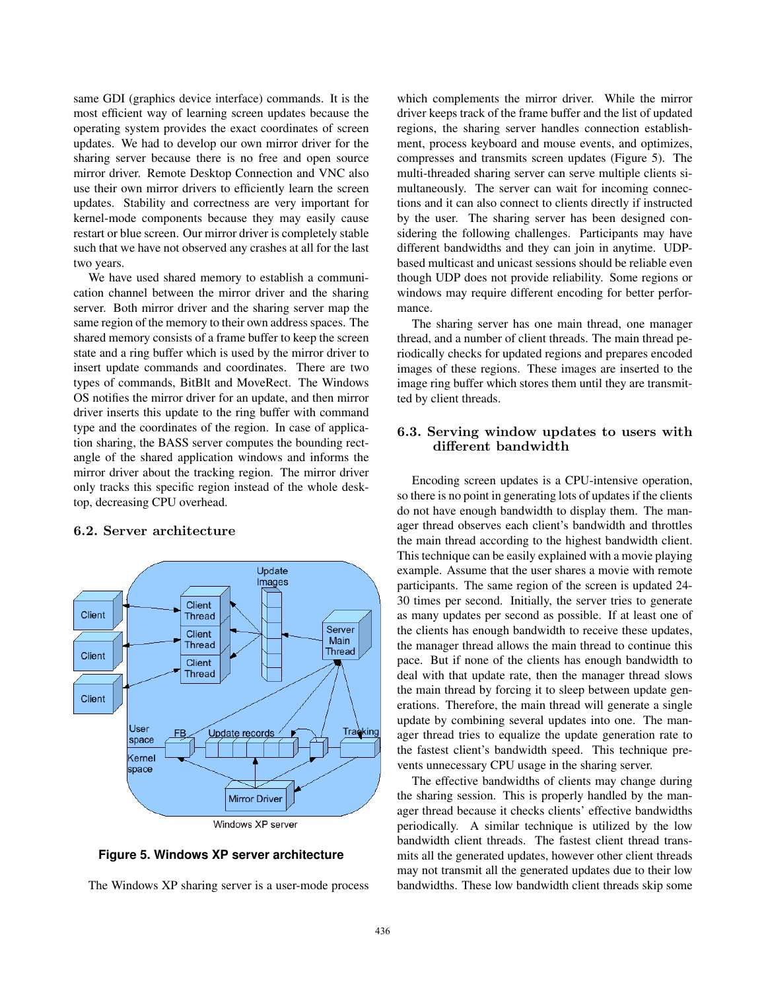same GDI (graphics device interface) commands. It is the most efficient way of learning screen updates because the operating system provides the exact coordinates of screen updates. We had to develop our own mirror driver for the sharing server because there is no free and open source mirror driver. Remote Desktop Connection and VNC also use their own mirror drivers to efficiently learn the screen updates. Stability and correctness are very important for kernel-mode components because they may easily cause restart or blue screen. Our mirror driver is completely stable such that we have not observed any crashes at all for the last two years.

We have used shared memory to establish a communication channel between the mirror driver and the sharing server. Both mirror driver and the sharing server map the same region of the memory to their own address spaces. The shared memory consists of a frame buffer to keep the screen state and a ring buffer which is used by the mirror driver to insert update commands and coordinates. There are two types of commands, BitBlt and MoveRect. The Windows OS notifies the mirror driver for an update, and then mirror driver inserts this update to the ring buffer with command type and the coordinates of the region. In case of application sharing, the BASS server computes the bounding rectangle of the shared application windows and informs the mirror driver about the tracking region. The mirror driver only tracks this specific region instead of the whole desktop, decreasing CPU overhead.



## 6.2. Server architecture

**Figure 5. Windows XP server architecture**

The Windows XP sharing server is a user-mode process

which complements the mirror driver. While the mirror driver keeps track of the frame buffer and the list of updated regions, the sharing server handles connection establishment, process keyboard and mouse events, and optimizes, compresses and transmits screen updates (Figure 5). The multi-threaded sharing server can serve multiple clients simultaneously. The server can wait for incoming connections and it can also connect to clients directly if instructed by the user. The sharing server has been designed considering the following challenges. Participants may have different bandwidths and they can join in anytime. UDPbased multicast and unicast sessions should be reliable even though UDP does not provide reliability. Some regions or windows may require different encoding for better performance.

The sharing server has one main thread, one manager thread, and a number of client threads. The main thread periodically checks for updated regions and prepares encoded images of these regions. These images are inserted to the image ring buffer which stores them until they are transmitted by client threads.

## 6.3. Serving window updates to users with different bandwidth

Encoding screen updates is a CPU-intensive operation, so there is no point in generating lots of updates if the clients do not have enough bandwidth to display them. The manager thread observes each client's bandwidth and throttles the main thread according to the highest bandwidth client. This technique can be easily explained with a movie playing example. Assume that the user shares a movie with remote participants. The same region of the screen is updated 24- 30 times per second. Initially, the server tries to generate as many updates per second as possible. If at least one of the clients has enough bandwidth to receive these updates, the manager thread allows the main thread to continue this pace. But if none of the clients has enough bandwidth to deal with that update rate, then the manager thread slows the main thread by forcing it to sleep between update generations. Therefore, the main thread will generate a single update by combining several updates into one. The manager thread tries to equalize the update generation rate to the fastest client's bandwidth speed. This technique prevents unnecessary CPU usage in the sharing server.

The effective bandwidths of clients may change during the sharing session. This is properly handled by the manager thread because it checks clients' effective bandwidths periodically. A similar technique is utilized by the low bandwidth client threads. The fastest client thread transmits all the generated updates, however other client threads may not transmit all the generated updates due to their low bandwidths. These low bandwidth client threads skip some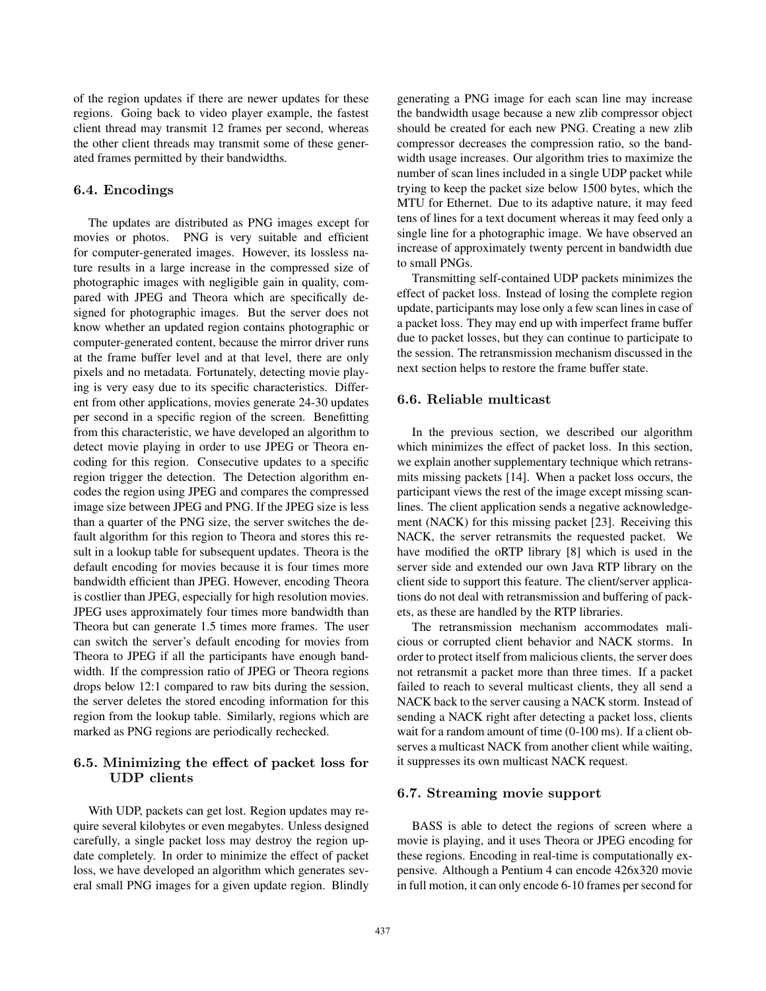of the region updates if there are newer updates for these regions. Going back to video player example, the fastest client thread may transmit 12 frames per second, whereas the other client threads may transmit some of these generated frames permitted by their bandwidths.

#### 6.4. Encodings

The updates are distributed as PNG images except for movies or photos. PNG is very suitable and efficient for computer-generated images. However, its lossless nature results in a large increase in the compressed size of photographic images with negligible gain in quality, compared with JPEG and Theora which are specifically designed for photographic images. But the server does not know whether an updated region contains photographic or computer-generated content, because the mirror driver runs at the frame buffer level and at that level, there are only pixels and no metadata. Fortunately, detecting movie playing is very easy due to its specific characteristics. Different from other applications, movies generate 24-30 updates per second in a specific region of the screen. Benefitting from this characteristic, we have developed an algorithm to detect movie playing in order to use JPEG or Theora encoding for this region. Consecutive updates to a specific region trigger the detection. The Detection algorithm encodes the region using JPEG and compares the compressed image size between JPEG and PNG. If the JPEG size is less than a quarter of the PNG size, the server switches the default algorithm for this region to Theora and stores this result in a lookup table for subsequent updates. Theora is the default encoding for movies because it is four times more bandwidth efficient than JPEG. However, encoding Theora is costlier than JPEG, especially for high resolution movies. JPEG uses approximately four times more bandwidth than Theora but can generate 1.5 times more frames. The user can switch the server's default encoding for movies from Theora to JPEG if all the participants have enough bandwidth. If the compression ratio of JPEG or Theora regions drops below 12:1 compared to raw bits during the session, the server deletes the stored encoding information for this region from the lookup table. Similarly, regions which are marked as PNG regions are periodically rechecked.

## 6.5. Minimizing the effect of packet loss for UDP clients

With UDP, packets can get lost. Region updates may require several kilobytes or even megabytes. Unless designed carefully, a single packet loss may destroy the region update completely. In order to minimize the effect of packet loss, we have developed an algorithm which generates several small PNG images for a given update region. Blindly

generating a PNG image for each scan line may increase the bandwidth usage because a new zlib compressor object should be created for each new PNG. Creating a new zlib compressor decreases the compression ratio, so the bandwidth usage increases. Our algorithm tries to maximize the number of scan lines included in a single UDP packet while trying to keep the packet size below 1500 bytes, which the MTU for Ethernet. Due to its adaptive nature, it may feed tens of lines for a text document whereas it may feed only a single line for a photographic image. We have observed an increase of approximately twenty percent in bandwidth due to small PNGs.

Transmitting self-contained UDP packets minimizes the effect of packet loss. Instead of losing the complete region update, participants may lose only a few scan lines in case of a packet loss. They may end up with imperfect frame buffer due to packet losses, but they can continue to participate to the session. The retransmission mechanism discussed in the next section helps to restore the frame buffer state.

#### 6.6. Reliable multicast

In the previous section, we described our algorithm which minimizes the effect of packet loss. In this section, we explain another supplementary technique which retransmits missing packets [14]. When a packet loss occurs, the participant views the rest of the image except missing scanlines. The client application sends a negative acknowledgement (NACK) for this missing packet [23]. Receiving this NACK, the server retransmits the requested packet. We have modified the oRTP library [8] which is used in the server side and extended our own Java RTP library on the client side to support this feature. The client/server applications do not deal with retransmission and buffering of packets, as these are handled by the RTP libraries.

The retransmission mechanism accommodates malicious or corrupted client behavior and NACK storms. In order to protect itself from malicious clients, the server does not retransmit a packet more than three times. If a packet failed to reach to several multicast clients, they all send a NACK back to the server causing a NACK storm. Instead of sending a NACK right after detecting a packet loss, clients wait for a random amount of time (0-100 ms). If a client observes a multicast NACK from another client while waiting, it suppresses its own multicast NACK request.

#### 6.7. Streaming movie support

BASS is able to detect the regions of screen where a movie is playing, and it uses Theora or JPEG encoding for these regions. Encoding in real-time is computationally expensive. Although a Pentium 4 can encode 426x320 movie in full motion, it can only encode 6-10 frames per second for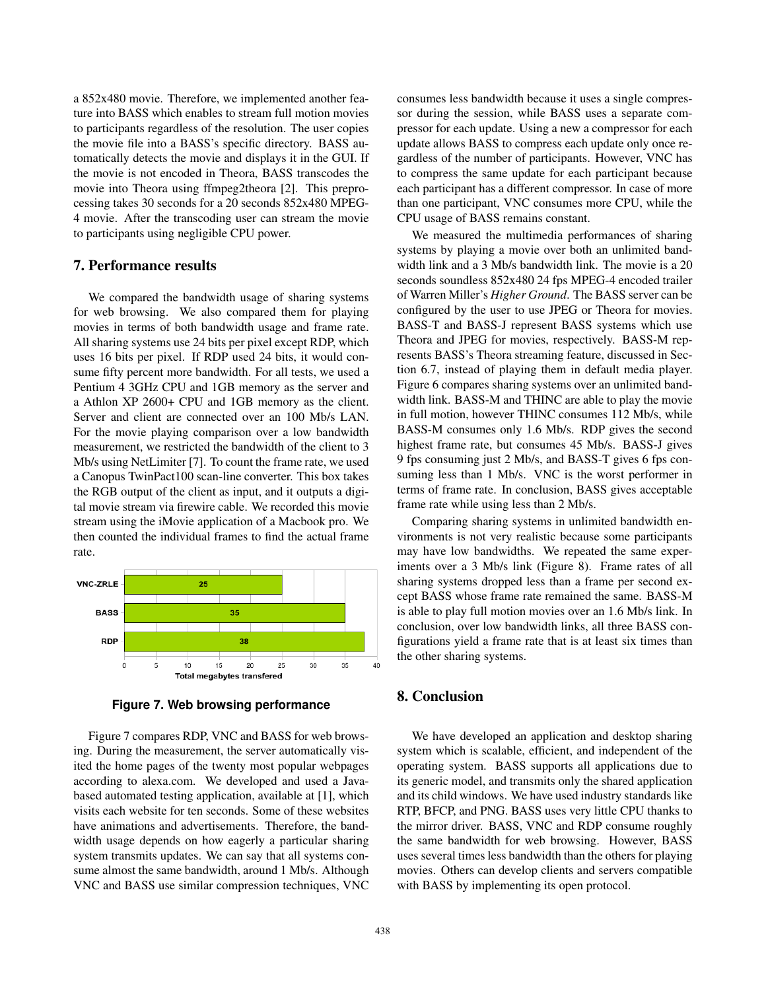a 852x480 movie. Therefore, we implemented another feature into BASS which enables to stream full motion movies to participants regardless of the resolution. The user copies the movie file into a BASS's specific directory. BASS automatically detects the movie and displays it in the GUI. If the movie is not encoded in Theora, BASS transcodes the movie into Theora using ffmpeg2theora [2]. This preprocessing takes 30 seconds for a 20 seconds 852x480 MPEG-4 movie. After the transcoding user can stream the movie to participants using negligible CPU power.

#### 7. Performance results

We compared the bandwidth usage of sharing systems for web browsing. We also compared them for playing movies in terms of both bandwidth usage and frame rate. All sharing systems use 24 bits per pixel except RDP, which uses 16 bits per pixel. If RDP used 24 bits, it would consume fifty percent more bandwidth. For all tests, we used a Pentium 4 3GHz CPU and 1GB memory as the server and a Athlon XP 2600+ CPU and 1GB memory as the client. Server and client are connected over an 100 Mb/s LAN. For the movie playing comparison over a low bandwidth measurement, we restricted the bandwidth of the client to 3 Mb/s using NetLimiter [7]. To count the frame rate, we used a Canopus TwinPact100 scan-line converter. This box takes the RGB output of the client as input, and it outputs a digital movie stream via firewire cable. We recorded this movie stream using the iMovie application of a Macbook pro. We then counted the individual frames to find the actual frame rate.



**Figure 7. Web browsing performance**

Figure 7 compares RDP, VNC and BASS for web browsing. During the measurement, the server automatically visited the home pages of the twenty most popular webpages according to alexa.com. We developed and used a Javabased automated testing application, available at [1], which visits each website for ten seconds. Some of these websites have animations and advertisements. Therefore, the bandwidth usage depends on how eagerly a particular sharing system transmits updates. We can say that all systems consume almost the same bandwidth, around 1 Mb/s. Although VNC and BASS use similar compression techniques, VNC consumes less bandwidth because it uses a single compressor during the session, while BASS uses a separate compressor for each update. Using a new a compressor for each update allows BASS to compress each update only once regardless of the number of participants. However, VNC has to compress the same update for each participant because each participant has a different compressor. In case of more than one participant, VNC consumes more CPU, while the CPU usage of BASS remains constant.

We measured the multimedia performances of sharing systems by playing a movie over both an unlimited bandwidth link and a 3 Mb/s bandwidth link. The movie is a 20 seconds soundless 852x480 24 fps MPEG-4 encoded trailer of Warren Miller's *Higher Ground*. The BASS server can be configured by the user to use JPEG or Theora for movies. BASS-T and BASS-J represent BASS systems which use Theora and JPEG for movies, respectively. BASS-M represents BASS's Theora streaming feature, discussed in Section 6.7, instead of playing them in default media player. Figure 6 compares sharing systems over an unlimited bandwidth link. BASS-M and THINC are able to play the movie in full motion, however THINC consumes 112 Mb/s, while BASS-M consumes only 1.6 Mb/s. RDP gives the second highest frame rate, but consumes 45 Mb/s. BASS-J gives 9 fps consuming just 2 Mb/s, and BASS-T gives 6 fps consuming less than 1 Mb/s. VNC is the worst performer in terms of frame rate. In conclusion, BASS gives acceptable frame rate while using less than 2 Mb/s.

Comparing sharing systems in unlimited bandwidth environments is not very realistic because some participants may have low bandwidths. We repeated the same experiments over a 3 Mb/s link (Figure 8). Frame rates of all sharing systems dropped less than a frame per second except BASS whose frame rate remained the same. BASS-M is able to play full motion movies over an 1.6 Mb/s link. In conclusion, over low bandwidth links, all three BASS configurations yield a frame rate that is at least six times than the other sharing systems.

## 8. Conclusion

We have developed an application and desktop sharing system which is scalable, efficient, and independent of the operating system. BASS supports all applications due to its generic model, and transmits only the shared application and its child windows. We have used industry standards like RTP, BFCP, and PNG. BASS uses very little CPU thanks to the mirror driver. BASS, VNC and RDP consume roughly the same bandwidth for web browsing. However, BASS uses several times less bandwidth than the others for playing movies. Others can develop clients and servers compatible with BASS by implementing its open protocol.